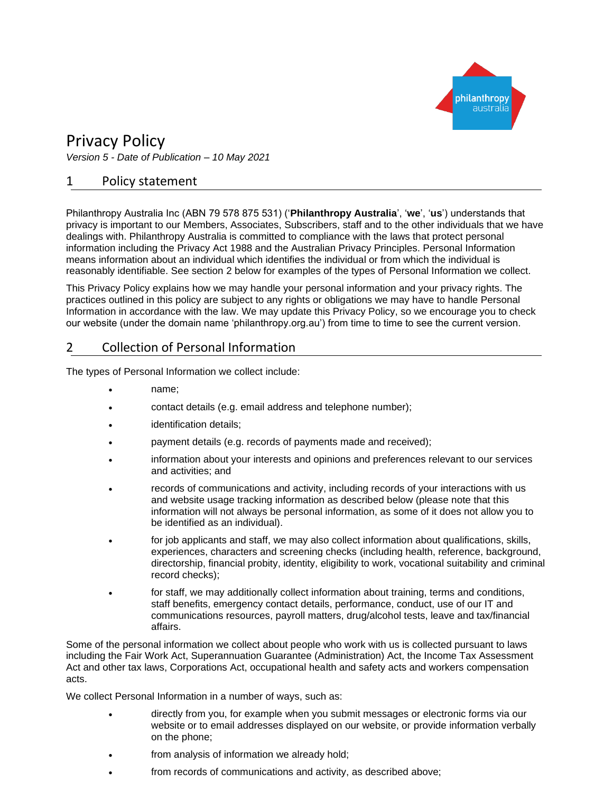

# Privacy Policy

*Version 5 - Date of Publication – 10 May 2021*

### 1 Policy statement

Philanthropy Australia Inc (ABN 79 578 875 531) ('**Philanthropy Australia**', '**we**', '**us**') understands that privacy is important to our Members, Associates, Subscribers, staff and to the other individuals that we have dealings with. Philanthropy Australia is committed to compliance with the laws that protect personal information including the Privacy Act 1988 and the Australian Privacy Principles. Personal Information means information about an individual which identifies the individual or from which the individual is reasonably identifiable. See section 2 below for examples of the types of Personal Information we collect.

This Privacy Policy explains how we may handle your personal information and your privacy rights. The practices outlined in this policy are subject to any rights or obligations we may have to handle Personal Information in accordance with the law. We may update this Privacy Policy, so we encourage you to check our website (under the domain name 'philanthropy.org.au') from time to time to see the current version.

# 2 Collection of Personal Information

The types of Personal Information we collect include:

- name;
- contact details (e.g. email address and telephone number);
- identification details;
- payment details (e.g. records of payments made and received);
- information about your interests and opinions and preferences relevant to our services and activities; and
- records of communications and activity, including records of your interactions with us and website usage tracking information as described below (please note that this information will not always be personal information, as some of it does not allow you to be identified as an individual).
- for job applicants and staff, we may also collect information about qualifications, skills, experiences, characters and screening checks (including health, reference, background, directorship, financial probity, identity, eligibility to work, vocational suitability and criminal record checks);
- for staff, we may additionally collect information about training, terms and conditions, staff benefits, emergency contact details, performance, conduct, use of our IT and communications resources, payroll matters, drug/alcohol tests, leave and tax/financial affairs.

Some of the personal information we collect about people who work with us is collected pursuant to laws including the Fair Work Act, Superannuation Guarantee (Administration) Act, the Income Tax Assessment Act and other tax laws, Corporations Act, occupational health and safety acts and workers compensation acts.

We collect Personal Information in a number of ways, such as:

- directly from you, for example when you submit messages or electronic forms via our website or to email addresses displayed on our website, or provide information verbally on the phone;
- from analysis of information we already hold;
- from records of communications and activity, as described above;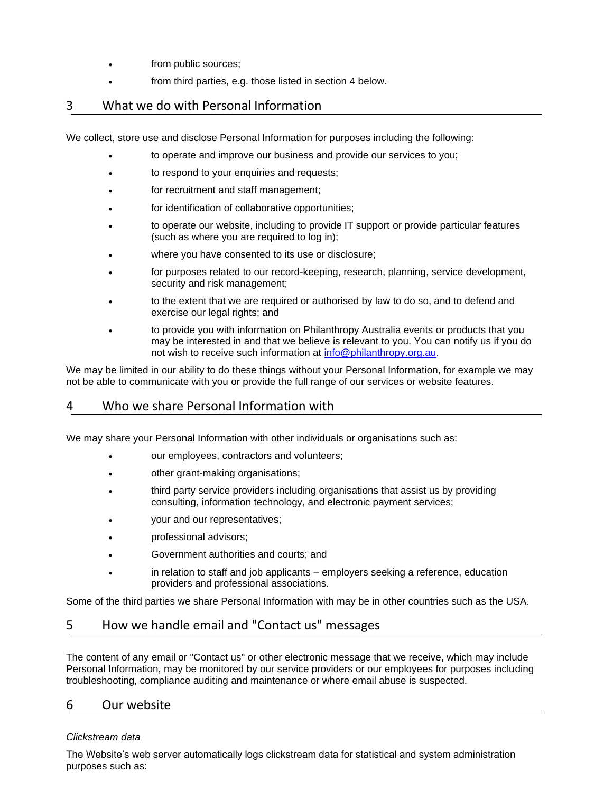- from public sources;
- from third parties, e.g. those listed in section 4 below.

# 3 What we do with Personal Information

We collect, store use and disclose Personal Information for purposes including the following:

- to operate and improve our business and provide our services to you;
- to respond to your enquiries and requests;
- for recruitment and staff management;
- for identification of collaborative opportunities;
- to operate our website, including to provide IT support or provide particular features (such as where you are required to log in);
- where you have consented to its use or disclosure;
- for purposes related to our record-keeping, research, planning, service development, security and risk management;
- to the extent that we are required or authorised by law to do so, and to defend and exercise our legal rights; and
- to provide you with information on Philanthropy Australia events or products that you may be interested in and that we believe is relevant to you. You can notify us if you do not wish to receive such information at [info@philanthropy.org.au.](mailto:info@philanthropy.org.au)

We may be limited in our ability to do these things without your Personal Information, for example we may not be able to communicate with you or provide the full range of our services or website features.

# 4 Who we share Personal Information with

We may share your Personal Information with other individuals or organisations such as:

- our employees, contractors and volunteers;
- other grant-making organisations;
- third party service providers including organisations that assist us by providing consulting, information technology, and electronic payment services;
- your and our representatives;
- professional advisors;
- Government authorities and courts; and
- in relation to staff and job applicants employers seeking a reference, education providers and professional associations.

Some of the third parties we share Personal Information with may be in other countries such as the USA.

### 5 How we handle email and "Contact us" messages

The content of any email or "Contact us" or other electronic message that we receive, which may include Personal Information, may be monitored by our service providers or our employees for purposes including troubleshooting, compliance auditing and maintenance or where email abuse is suspected.

### 6 Our website

#### *Clickstream data*

The Website's web server automatically logs clickstream data for statistical and system administration purposes such as: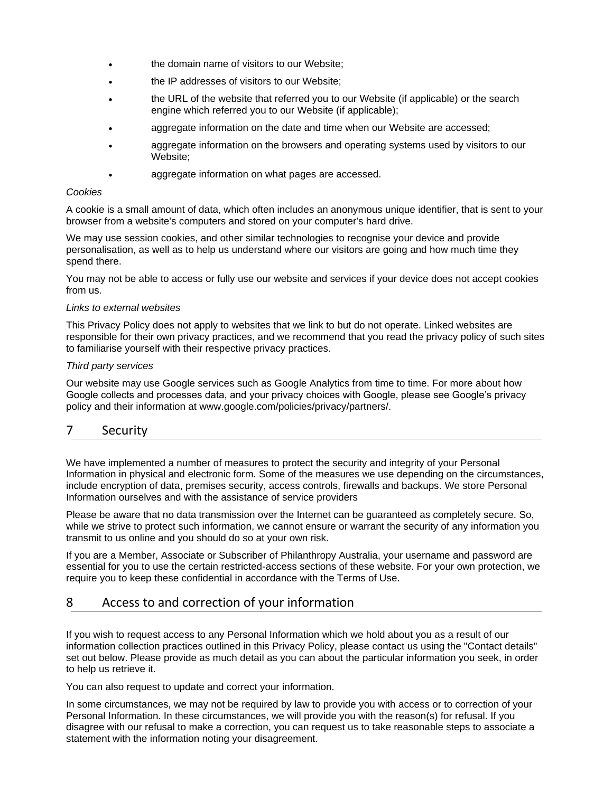- the domain name of visitors to our Website;
- the IP addresses of visitors to our Website;
- the URL of the website that referred you to our Website (if applicable) or the search engine which referred you to our Website (if applicable);
- aggregate information on the date and time when our Website are accessed;
- aggregate information on the browsers and operating systems used by visitors to our Website;
- aggregate information on what pages are accessed.

#### *Cookies*

A cookie is a small amount of data, which often includes an anonymous unique identifier, that is sent to your browser from a website's computers and stored on your computer's hard drive.

We may use session cookies, and other similar technologies to recognise your device and provide personalisation, as well as to help us understand where our visitors are going and how much time they spend there.

You may not be able to access or fully use our website and services if your device does not accept cookies from us.

#### *Links to external websites*

This Privacy Policy does not apply to websites that we link to but do not operate. Linked websites are responsible for their own privacy practices, and we recommend that you read the privacy policy of such sites to familiarise yourself with their respective privacy practices.

#### *Third party services*

Our website may use Google services such as Google Analytics from time to time. For more about how Google collects and processes data, and your privacy choices with Google, please see Google's privacy policy and their information at www.google.com/policies/privacy/partners/.

# 7 Security

We have implemented a number of measures to protect the security and integrity of your Personal Information in physical and electronic form. Some of the measures we use depending on the circumstances, include encryption of data, premises security, access controls, firewalls and backups. We store Personal Information ourselves and with the assistance of service providers

Please be aware that no data transmission over the Internet can be guaranteed as completely secure. So, while we strive to protect such information, we cannot ensure or warrant the security of any information you transmit to us online and you should do so at your own risk.

If you are a Member, Associate or Subscriber of Philanthropy Australia, your username and password are essential for you to use the certain restricted-access sections of these website. For your own protection, we require you to keep these confidential in accordance with the Terms of Use.

# 8 Access to and correction of your information

If you wish to request access to any Personal Information which we hold about you as a result of our information collection practices outlined in this Privacy Policy, please contact us using the "Contact details" set out below. Please provide as much detail as you can about the particular information you seek, in order to help us retrieve it.

You can also request to update and correct your information.

In some circumstances, we may not be required by law to provide you with access or to correction of your Personal Information. In these circumstances, we will provide you with the reason(s) for refusal. If you disagree with our refusal to make a correction, you can request us to take reasonable steps to associate a statement with the information noting your disagreement.